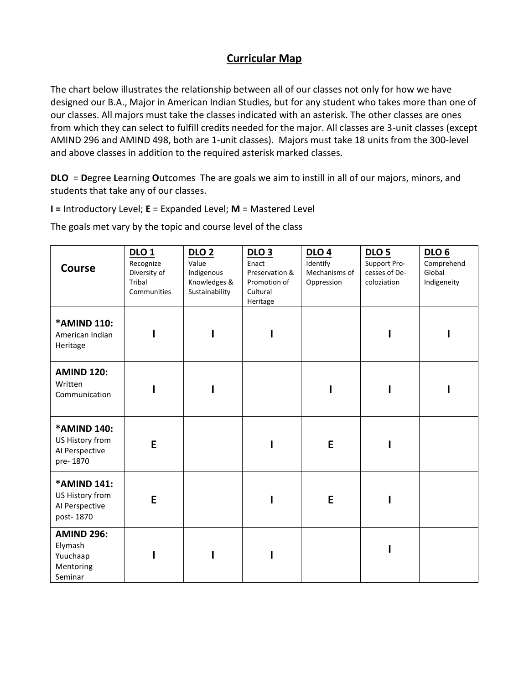## **Curricular Map**

The chart below illustrates the relationship between all of our classes not only for how we have designed our B.A., Major in American Indian Studies, but for any student who takes more than one of our classes. All majors must take the classes indicated with an asterisk. The other classes are ones from which they can select to fulfill credits needed for the major. All classes are 3-unit classes (except AMIND 296 and AMIND 498, both are 1-unit classes). Majors must take 18 units from the 300-level and above classes in addition to the required asterisk marked classes.

**DLO** = **D**egree **L**earning **O**utcomes The are goals we aim to instill in all of our majors, minors, and students that take any of our classes.

**I =** Introductory Level; **E** = Expanded Level; **M** = Mastered Level

The goals met vary by the topic and course level of the class

| <b>Course</b>                                                    | DLO <sub>1</sub><br>Recognize<br>Diversity of<br>Tribal<br>Communities | <b>DLO 2</b><br>Value<br>Indigenous<br>Knowledges &<br>Sustainability | <b>DLO 3</b><br>Enact<br>Preservation &<br>Promotion of<br>Cultural<br>Heritage | DLO <sub>4</sub><br>Identify<br>Mechanisms of<br>Oppression | <b>DLO 5</b><br>Support Pro-<br>cesses of De-<br>coloziation | <b>DLO 6</b><br>Comprehend<br>Global<br>Indigeneity |
|------------------------------------------------------------------|------------------------------------------------------------------------|-----------------------------------------------------------------------|---------------------------------------------------------------------------------|-------------------------------------------------------------|--------------------------------------------------------------|-----------------------------------------------------|
| *AMIND 110:<br>American Indian<br>Heritage                       |                                                                        |                                                                       | ı                                                                               |                                                             |                                                              |                                                     |
| <b>AMIND 120:</b><br>Written<br>Communication                    |                                                                        |                                                                       |                                                                                 |                                                             |                                                              |                                                     |
| *AMIND 140:<br>US History from<br>Al Perspective<br>pre-1870     | E                                                                      |                                                                       |                                                                                 | E                                                           |                                                              |                                                     |
| *AMIND 141:<br>US History from<br>AI Perspective<br>post-1870    | E                                                                      |                                                                       |                                                                                 | E                                                           |                                                              |                                                     |
| <b>AMIND 296:</b><br>Elymash<br>Yuuchaap<br>Mentoring<br>Seminar |                                                                        |                                                                       | ı                                                                               |                                                             |                                                              |                                                     |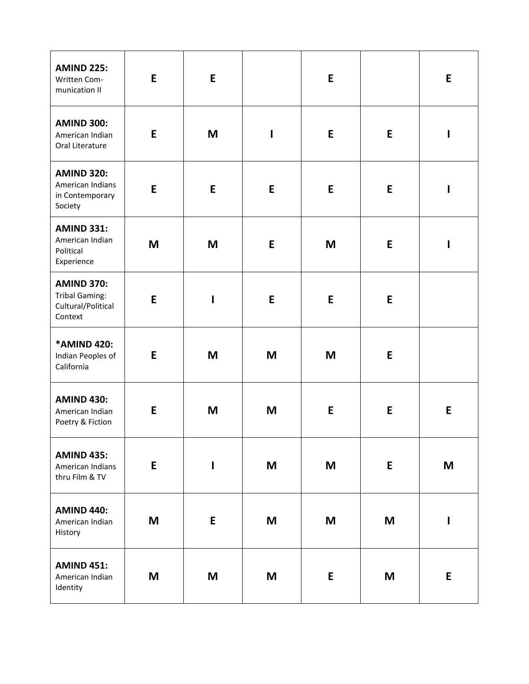| <b>AMIND 225:</b><br>Written Com-<br>munication II                          | E | E            |             | E |   | E |
|-----------------------------------------------------------------------------|---|--------------|-------------|---|---|---|
| <b>AMIND 300:</b><br>American Indian<br>Oral Literature                     | E | M            | $\mathbf I$ | E | E | I |
| <b>AMIND 320:</b><br>American Indians<br>in Contemporary<br>Society         | E | E            | E           | E | E | ı |
| <b>AMIND 331:</b><br>American Indian<br>Political<br>Experience             | M | M            | E           | M | E | I |
| <b>AMIND 370:</b><br><b>Tribal Gaming:</b><br>Cultural/Political<br>Context | E | $\mathbf I$  | E           | E | E |   |
| *AMIND 420:<br>Indian Peoples of<br>California                              | E | M            | M           | M | E |   |
| <b>AMIND 430:</b><br>American Indian<br>Poetry & Fiction                    | E | M            | M           | E | E | E |
| <b>AMIND 435:</b><br>American Indians<br>thru Film & TV                     | E | $\mathbf{I}$ | M           | M | E | M |
| <b>AMIND 440:</b><br>American Indian<br>History                             | M | E            | M           | M | M | I |
| <b>AMIND 451:</b><br>American Indian<br>Identity                            | M | M            | M           | E | M | E |